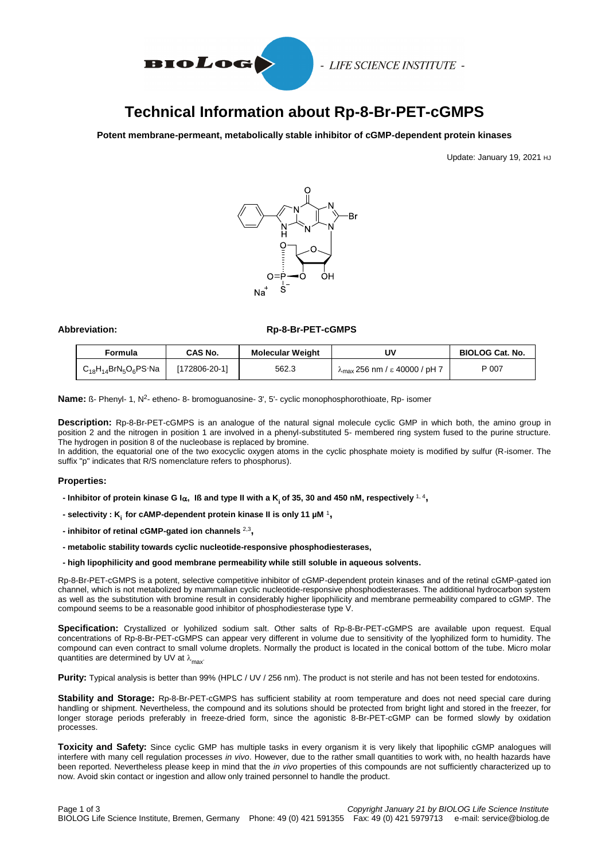

- LIFE SCIENCE INSTITUTE -

# **Technical Information about Rp-8-Br-PET-cGMPS**

**Potent membrane-permeant, metabolically stable inhibitor of cGMP-dependent protein kinases**

Update: January 19, 2021 HJ



# Abbreviation: Rp-8-Br-PET-cGMPS

| Formula                     | CAS No.       | <b>Molecular Weight</b> | U٧                                             | <b>BIOLOG Cat. No.</b> |
|-----------------------------|---------------|-------------------------|------------------------------------------------|------------------------|
| $C_{18}H_{14}BrN_5O_6PS$ Na | [172806-20-1] | 562.3                   | $\lambda_{\text{max}}$ 256 nm / ε 40000 / pH 7 | P 007                  |

Name: ß- Phenyl- 1, N<sup>2</sup>- etheno- 8- bromoguanosine- 3', 5'- cyclic monophosphorothioate, Rp- isomer

**Description:** Rp-8-Br-PET-cGMPS is an analogue of the natural signal molecule cyclic GMP in which both, the amino group in position 2 and the nitrogen in position 1 are involved in a phenyl-substituted 5- membered ring system fused to the purine structure. The hydrogen in position 8 of the nucleobase is replaced by bromine.

In addition, the equatorial one of the two exocyclic oxygen atoms in the cyclic phosphate moiety is modified by sulfur (R-isomer. The suffix "p" indicates that R/S nomenclature refers to phosphorus).

## **Properties:**

- **- Inhibitor of protein kinase G I, Iß and type II with a K<sup>i</sup> of 35, 30 and 450 nM, respectively** 1, 4 **,**
- **- selectivity : K<sup>i</sup> for cAMP-dependent protein kinase II is only 11 µM** <sup>1</sup> **,**
- **- inhibitor of retinal cGMP-gated ion channels** 2,3 **,**
- **- metabolic stability towards cyclic nucleotide-responsive phosphodiesterases,**
- **- high lipophilicity and good membrane permeability while still soluble in aqueous solvents.**

Rp-8-Br-PET-cGMPS is a potent, selective competitive inhibitor of cGMP-dependent protein kinases and of the retinal cGMP-gated ion channel, which is not metabolized by mammalian cyclic nucleotide-responsive phosphodiesterases. The additional hydrocarbon system as well as the substitution with bromine result in considerably higher lipophilicity and membrane permeability compared to cGMP. The compound seems to be a reasonable good inhibitor of phosphodiesterase type V.

**Specification:** Crystallized or lyohilized sodium salt. Other salts of Rp-8-Br-PET-cGMPS are available upon request. Equal concentrations of Rp-8-Br-PET-cGMPS can appear very different in volume due to sensitivity of the lyophilized form to humidity. The compound can even contract to small volume droplets. Normally the product is located in the conical bottom of the tube. Micro molar quantities are determined by UV at  $\lambda_{\text{max}}$ .

**Purity:** Typical analysis is better than 99% (HPLC / UV / 256 nm). The product is not sterile and has not been tested for endotoxins.

**Stability and Storage:** Rp-8-Br-PET-cGMPS has sufficient stability at room temperature and does not need special care during handling or shipment. Nevertheless, the compound and its solutions should be protected from bright light and stored in the freezer, for longer storage periods preferably in freeze-dried form, since the agonistic 8-Br-PET-cGMP can be formed slowly by oxidation processes.

**Toxicity and Safety:** Since cyclic GMP has multiple tasks in every organism it is very likely that lipophilic cGMP analogues will interfere with many cell regulation processes *in vivo*. However, due to the rather small quantities to work with, no health hazards have been reported. Nevertheless please keep in mind that the *in vivo* properties of this compounds are not sufficiently characterized up to now. Avoid skin contact or ingestion and allow only trained personnel to handle the product.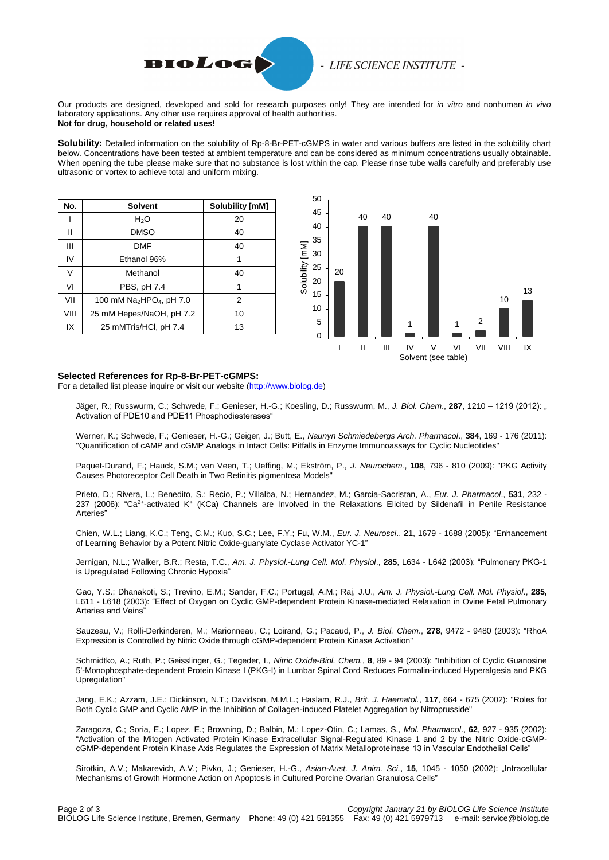

# - LIFE SCIENCE INSTITUTE -

Our products are designed, developed and sold for research purposes only! They are intended for *in vitro* and nonhuman *in vivo*  laboratory applications. Any other use requires approval of health authorities. **Not for drug, household or related uses!**

**Solubility:** Detailed information on the solubility of Rp-8-Br-PET-cGMPS in water and various buffers are listed in the solubility chart below. Concentrations have been tested at ambient temperature and can be considered as minimum concentrations usually obtainable. When opening the tube please make sure that no substance is lost within the cap. Please rinse tube walls carefully and preferably use ultrasonic or vortex to achieve total and uniform mixing.

| No.    | <b>Solvent</b>                                   | Solubility [mM] |
|--------|--------------------------------------------------|-----------------|
|        | H <sub>2</sub> O                                 | 20              |
| Ш      | <b>DMSO</b>                                      | 40              |
| Ш      | <b>DMF</b>                                       | 40              |
| IV     | Ethanol 96%                                      | 1               |
| $\vee$ | Methanol                                         | 40              |
| VI     | PBS, pH 7.4                                      | 1               |
| VII    | 100 mM Na <sub>2</sub> HPO <sub>4</sub> , pH 7.0 | 2               |
| VIII   | 25 mM Hepes/NaOH, pH 7.2                         | 10              |
| IX     | 25 mMTris/HCl, pH 7.4                            | 13              |



#### **Selected References for Rp-8-Br-PET-cGMPS:**

For a detailed list please inquire or visit our website [\(http://www.biolog.de\)](http://www.biolog.de/literature/product-references/?user_library_pi4%5Brequest%5D=referenz&user_library_pi4%5Bname%5D=P%20007)

Jäger, R.; Russwurm, C.; Schwede, F.; Genieser, H.-G.; Koesling, D.; Russwurm, M., *J. Biol. Chem*., **287**, 1210 – 1219 (2012): " Activation of PDE10 and PDE11 Phosphodiesterases"

Werner, K.; Schwede, F.; Genieser, H.-G.; Geiger, J.; Butt, E., *Naunyn Schmiedebergs Arch. Pharmacol*., **384**, 169 - 176 (2011): "Quantification of cAMP and cGMP Analogs in Intact Cells: Pitfalls in Enzyme Immunoassays for Cyclic Nucleotides"

Paquet-Durand, F.; Hauck, S.M.; van Veen, T.; Ueffing, M.; Ekström, P., *J. Neurochem.*, **108**, 796 - 810 (2009): "PKG Activity Causes Photoreceptor Cell Death in Two Retinitis pigmentosa Models"

Prieto, D.; Rivera, L.; Benedito, S.; Recio, P.; Villalba, N.; Hernandez, M.; Garcia-Sacristan, A., *Eur. J. Pharmacol*., **531**, 232 - 237 (2006): "Ca<sup>2+</sup>-activated K<sup>+</sup> (KCa) Channels are Involved in the Relaxations Elicited by Sildenafil in Penile Resistance Arteries"

Chien, W.L.; Liang, K.C.; Teng, C.M.; Kuo, S.C.; Lee, F.Y.; Fu, W.M., *Eur. J. Neurosci*., **21**, 1679 - 1688 (2005): "Enhancement of Learning Behavior by a Potent Nitric Oxide-guanylate Cyclase Activator YC-1"

Jernigan, N.L.; Walker, B.R.; Resta, T.C., *Am. J. Physiol.-Lung Cell. Mol. Physiol*., **285**, L634 - L642 (2003): "Pulmonary PKG-1 is Upregulated Following Chronic Hypoxia"

Gao, Y.S.; Dhanakoti, S.; Trevino, E.M.; Sander, F.C.; Portugal, A.M.; Raj, J.U., *Am. J. Physiol.-Lung Cell. Mol. Physiol*., **285,** L611 - L618 (2003): "Effect of Oxygen on Cyclic GMP-dependent Protein Kinase-mediated Relaxation in Ovine Fetal Pulmonary Arteries and Veins"

Sauzeau, V.; Rolli-Derkinderen, M.; Marionneau, C.; Loirand, G.; Pacaud, P., *J. Biol. Chem.*, **278**, 9472 - 9480 (2003): "RhoA Expression is Controlled by Nitric Oxide through cGMP-dependent Protein Kinase Activation"

Schmidtko, A.; Ruth, P.; Geisslinger, G.; Tegeder, I., *Nitric Oxide-Biol. Chem.*, **8**, 89 - 94 (2003): "Inhibition of Cyclic Guanosine 5'-Monophosphate-dependent Protein Kinase I (PKG-I) in Lumbar Spinal Cord Reduces Formalin-induced Hyperalgesia and PKG Upregulation"

Jang, E.K.; Azzam, J.E.; Dickinson, N.T.; Davidson, M.M.L.; Haslam, R.J., *Brit. J. Haematol.*, **117**, 664 - 675 (2002): "Roles for Both Cyclic GMP and Cyclic AMP in the Inhibition of Collagen-induced Platelet Aggregation by Nitroprusside"

Zaragoza, C.; Soria, E.; Lopez, E.; Browning, D.; Balbin, M.; Lopez-Otin, C.; Lamas, S., *Mol. Pharmacol*., **62**, 927 - 935 (2002): "Activation of the Mitogen Activated Protein Kinase Extracellular Signal-Regulated Kinase 1 and 2 by the Nitric Oxide-cGMPcGMP-dependent Protein Kinase Axis Regulates the Expression of Matrix Metalloproteinase 13 in Vascular Endothelial Cells"

Sirotkin, A.V.; Makarevich, A.V.; Pivko, J.; Genieser, H.-G., *Asian-Aust. J. Anim. Sci.*, **15**, 1045 - 1050 (2002): "Intracellular Mechanisms of Growth Hormone Action on Apoptosis in Cultured Porcine Ovarian Granulosa Cells"